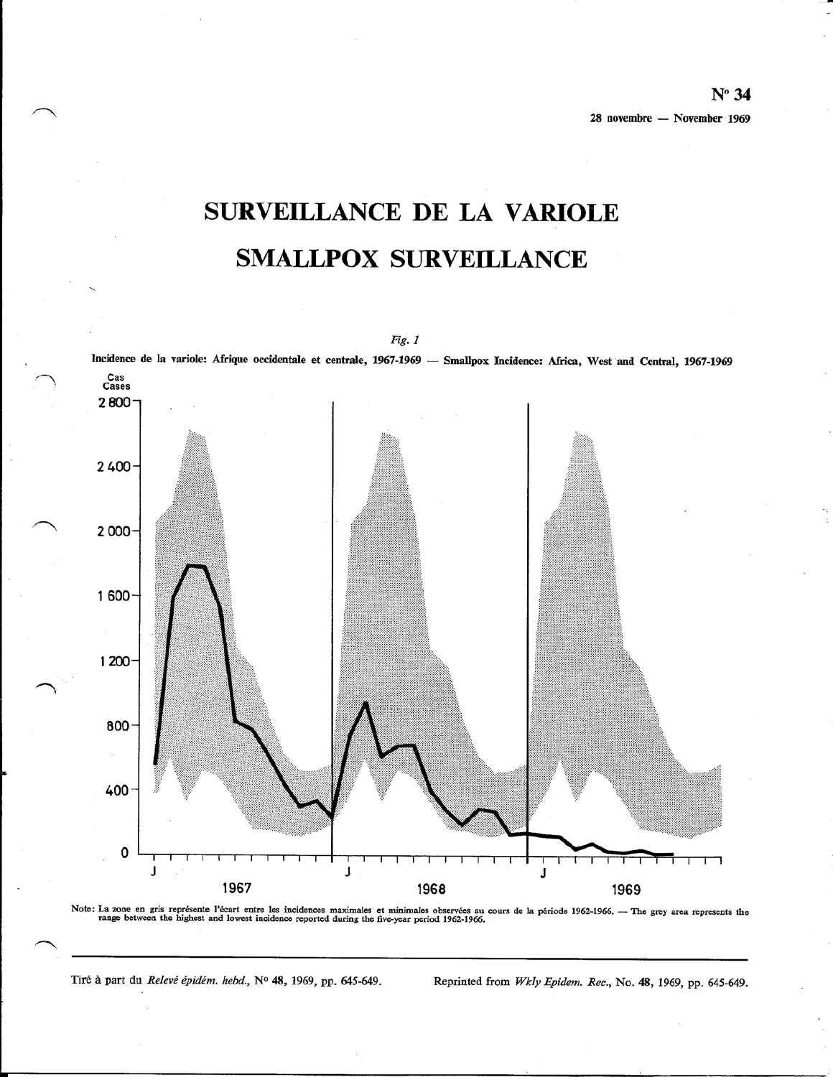# SURVEILLANCE DE LA VARIOLE **SMALLPOX SURVEILLANCE**

Incidence de la variole: Afrique occidentale et centrale, 1967-1969 - Smallpox Incidence: Africa, West and Central, 1967-1969 Cas<br>Cases 2800  $2400 -$ 2 000 1 600 1 200 800 400 0 J J J 1967 1968 1969

Note: La zone en gris représente l'écart entre les incidences maximales et minimales observées au cours de la période 1962-1966. — The grey area represents the range between the highest and lowest incidence reported during

Tiré à part du Relevé épidém. hebd., Nº 48, 1969, pp. 645-649.

Reprinted from Wkly Epidem. Rec., No. 48, 1969, pp. 645-649.

Fig. 1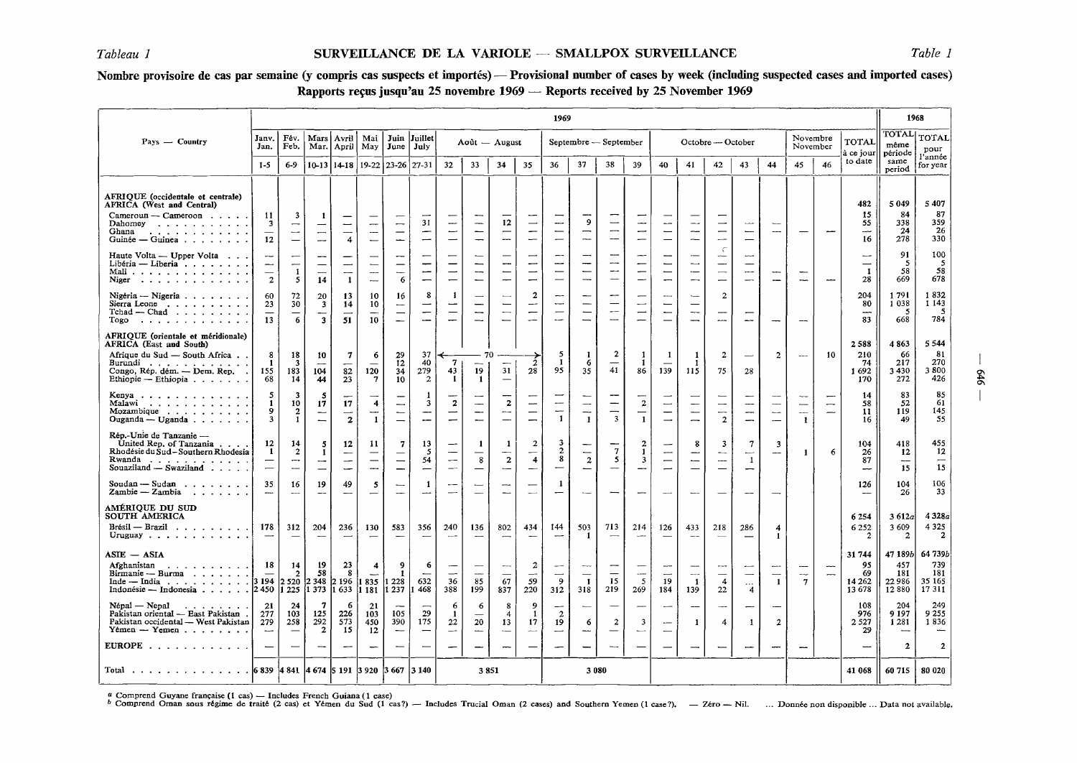## Nombre provisoire de cas par semaine (y compris cas suspects et importés) — Provisional number of cases by week (including suspected cases and imported cases) Rapports reçus jusqu'au 25 novembre 1969 — Reports received by 25 November 1969

|                                                                                                                                                                                                 | 1969                                                                 |                                                                       |                                                           |                                            |                                                        |                                                                                 |                                                           |                                                                                       | 1968                                                            |                                                                                  |                                                                                       |                                                                                            |                                                              |                                                                                  |                                                                |                                                                                  |                                                                                       |                                                                                               |                                                        |                                                                |                       |                               |                                                      |                                             |                                          |
|-------------------------------------------------------------------------------------------------------------------------------------------------------------------------------------------------|----------------------------------------------------------------------|-----------------------------------------------------------------------|-----------------------------------------------------------|--------------------------------------------|--------------------------------------------------------|---------------------------------------------------------------------------------|-----------------------------------------------------------|---------------------------------------------------------------------------------------|-----------------------------------------------------------------|----------------------------------------------------------------------------------|---------------------------------------------------------------------------------------|--------------------------------------------------------------------------------------------|--------------------------------------------------------------|----------------------------------------------------------------------------------|----------------------------------------------------------------|----------------------------------------------------------------------------------|---------------------------------------------------------------------------------------|-----------------------------------------------------------------------------------------------|--------------------------------------------------------|----------------------------------------------------------------|-----------------------|-------------------------------|------------------------------------------------------|---------------------------------------------|------------------------------------------|
| $Pays - Country$                                                                                                                                                                                | Janv.<br>Jan.                                                        | Fév.<br>Feb.                                                          | Mars<br>Mar.                                              | Avril<br>April                             | Mai<br>May                                             | June                                                                            | Juin Juillet<br>July                                      |                                                                                       | Août — August                                                   |                                                                                  |                                                                                       |                                                                                            | Septembre — September                                        |                                                                                  |                                                                |                                                                                  | Octobre --- October                                                                   |                                                                                               |                                                        |                                                                | Novembre<br>November  |                               | TOTAL<br>à ce jour                                   | TOTAL<br>même<br>période                    | TOTAL<br>pour                            |
|                                                                                                                                                                                                 | $1-5$                                                                | $6-9$                                                                 |                                                           | $10-13$   $14-18$                          |                                                        | 19-22 23-26 27-31                                                               |                                                           | 32                                                                                    | 33                                                              | 34                                                                               | 35                                                                                    | 36                                                                                         | 37                                                           | 38                                                                               | 39                                                             | 40                                                                               | 41                                                                                    | 42                                                                                            | 43                                                     | 44                                                             | 45                    | 46                            | to date                                              | same<br>period                              | l'année<br>for year                      |
| AFRIOUE (occidentale et centrale)<br>AFRICA (West and Central)<br>Cameroun - Cameroon<br>Dahomey<br>Ghana<br>والمتعاط والمتعاط والمتعاط والمتعارف<br>Guinée — Guinea $\ldots$ , $\ldots$ .      | 11<br>-3<br>12                                                       | 3<br>$\overbrace{\phantom{aaaaa}}$<br>---<br>$\overline{\phantom{0}}$ | $\overline{\phantom{0}}$<br>-<br>$\overline{\phantom{0}}$ | -<br>$\overline{\phantom{0}}$<br>----<br>4 | -<br>--<br>$\overline{\phantom{0}}$                    | $\overline{\phantom{0}}$<br>$\overline{\phantom{m}}$                            | 31<br>-<br>$\overline{\phantom{0}}$                       | $\overline{\phantom{m}}$<br>$\overline{\phantom{0}}$<br>$\overline{\phantom{0}}$      | $\overline{\phantom{0}}$<br>-                                   | 12<br>---                                                                        | $\overline{\phantom{a}}$<br>$\overline{\phantom{0}}$<br>—<br>$\overline{\phantom{0}}$ | --<br>$\overline{\phantom{0}}$<br>$\overline{\phantom{0}}$                                 | 9<br>$\overbrace{\phantom{1333}}$<br>--                      | $\overline{\phantom{0}}$<br>$\overline{\phantom{0}}$<br>$\overline{\phantom{0}}$ | ---<br>—                                                       | $\overline{\phantom{0}}$                                                         | --<br>--<br>$\overline{\phantom{0}}$                                                  | —<br>$\overline{\phantom{0}}$                                                                 | $\sim$<br>---                                          | $\overline{\phantom{a}}$<br>$\overline{\phantom{a}}$           |                       |                               | 482<br>15<br>55<br>---<br>16                         | 5049<br>84<br>338<br>24<br>278              | 5 407<br>87<br>359<br>26<br>330          |
| Haute Volta — Upper Volta<br>Libéria - Liberia<br>Mali $\cdots$<br>Niger                                                                                                                        | $\overline{\phantom{m}}$<br>$\overline{\phantom{0}}$<br>$\mathbf{2}$ | ---<br>--<br>$\mathbf{1}$<br>5                                        | -<br>—<br>14                                              | $\mathbf{1}$                               | -<br>$\overline{\phantom{0}}$                          | 6                                                                               | -                                                         | $\overline{\phantom{m}}$<br>$\overline{\phantom{0}}$                                  | --<br>$\overline{\phantom{0}}$<br>$\overline{\phantom{a}}$<br>- | -                                                                                | -<br>$\overline{\phantom{0}}$<br>$\overline{\phantom{0}}$<br>-                        | $\overline{\phantom{m}}$<br>—<br>$\overbrace{\phantom{aaaaa}}$<br>$\overline{\phantom{0}}$ | --<br>-                                                      | -<br>--<br>—<br>$\overline{\phantom{0}}$                                         | ---<br>-<br>÷                                                  |                                                                                  | ---<br>$\overline{\phantom{0}}$<br>-                                                  | $\subset$<br>$\overline{\phantom{a}}$<br>$\overline{\phantom{0}}$<br>$\overline{\phantom{0}}$ | ---<br>---                                             |                                                                |                       | ---                           | --<br>$\overline{\phantom{0}}$<br>$\mathbf{1}$<br>28 | 91<br>- 5<br>58<br>669                      | 100<br>-5<br>58<br>678                   |
| Nigéria — Nigeria $\ldots$ , $\ldots$<br>Sierra Leone<br>$Tchad$ - $Chad$ $\ldots$ $\ldots$ $\ldots$<br>Togo<br>والمتعانية والمتعاط والمتعاط والمتعار                                           | 60<br>23<br>13                                                       | 72<br>30<br>6                                                         | 20<br>$\overline{\mathbf{3}}$<br>$\overline{\mathbf{3}}$  | 13<br>14<br>51                             | 10<br>10<br>10                                         | 16<br>$\overline{\phantom{a}}$<br>$\overline{\phantom{0}}$<br>$\qquad \qquad -$ | 8<br>$\overline{\phantom{0}}$<br>$\overline{\phantom{a}}$ | -1<br>$\overline{\phantom{0}}$<br>$\overline{\phantom{m}}$<br>$\sim$                  | $\overline{\phantom{0}}$<br>$\overline{\phantom{m}}$            | $\overline{\phantom{a}}$<br>$\overline{\phantom{0}}$<br>$\overline{\phantom{a}}$ | $\mathbf{2}$<br>--<br>$\overline{\phantom{0}}$                                        | --<br>$\overline{\phantom{a}}$<br>$\overline{\phantom{0}}$<br>$\overline{\phantom{a}}$     | $\overbrace{\phantom{12322111}}$<br>$\overline{\phantom{0}}$ | -<br>--                                                                          | -<br>$\sim$                                                    | ومعتمر                                                                           | $\overline{\phantom{0}}$<br>$\overline{\phantom{m}}$<br>$\overline{\phantom{0}}$      | $\overline{c}$<br>---                                                                         |                                                        |                                                                |                       |                               | 204<br>80<br>83                                      | 1791<br>1 0 3 8<br>-5<br>668                | 1832<br>1 1 4 3<br>-5<br>784             |
| AFRIOUE (orientale et méridionale)<br><b>AFRICA</b> (East and South)<br>Afrique du Sud — South Africa<br>Burundi<br>Congo, Rép. dém. — Dem. Rep.<br>Ethiopie - Ethiopia $\ldots$                | 8<br>$\mathbf{1}$<br>155<br>68                                       | 18<br>$\overline{\mathbf{3}}$<br>183<br>14                            | 10<br>104<br>44                                           | 7<br>82<br>23                              | 6<br>$\overline{\phantom{0}}$<br>120<br>$\overline{7}$ | 29<br>$12 \,$<br>34<br>10                                                       | 37<br>40<br>279<br>$\overline{2}$                         | $\mathbf{7}$<br>43<br>1                                                               | -70<br>19<br>1                                                  | 31<br>$\overline{\phantom{a}}$                                                   | $\overline{2}$<br>28                                                                  | 5<br>$\mathbf{1}$<br>95                                                                    | 6<br>35                                                      | $\mathbf{2}$<br>$\overline{\phantom{0}}$<br>41                                   | -1<br>86                                                       | 1<br>139                                                                         | -1<br>-1<br>115                                                                       | $\boldsymbol{2}$<br>75                                                                        | $\overline{\phantom{a}}$<br>28                         | $\overline{2}$                                                 | $\sim$                | 10                            | 2588<br>210<br>74<br>1692<br>170                     | 4863<br>66<br>217<br>3430<br>272            | 5544<br>81<br>270<br>3800<br>426         |
| Kenya $\cdots$ $\cdots$ $\cdots$<br>Malawi<br>Mozambique<br>Ouganda — Uganda                                                                                                                    | 5<br>$\mathbf{1}$<br>9<br>$\overline{\mathbf{3}}$                    | 3<br>10<br>$\boldsymbol{2}$<br>$\mathbf{1}$                           | 5<br>17<br>$\overline{\phantom{0}}$                       | 17<br>$\mathbf{z}$                         | 4<br>$\mathbf{1}$                                      | $\overline{\phantom{0}}$                                                        | 3<br>÷<br>$\overline{\phantom{0}}$                        | $\overline{\mathbf{c}}$<br>$\overline{\phantom{m}}$<br>$\overline{\phantom{0}}$       | $\overline{\phantom{a}}$<br>$\overline{\phantom{0}}$            | $\mathbf{2}$<br>$\overline{\phantom{a}}$<br>$\overline{\phantom{0}}$             | --<br>$\qquad \qquad -$<br>$\overline{\phantom{0}}$                                   | $\overline{\phantom{0}}$<br>$\mathbf{1}$                                                   | $\overline{\phantom{0}}$<br>--<br>$\mathbf{1}$               | —<br>$\overline{\phantom{0}}$<br>$\overline{\mathbf{3}}$                         | $\overline{\mathbf{c}}$<br>—<br>1                              | -                                                                                | --<br>$\overline{\phantom{a}}$<br>$\overline{\phantom{0}}$                            | -<br>—<br>$\overline{2}$                                                                      | <b></b><br>—<br>-                                      | $\sim$<br>$\overline{\phantom{a}}$<br>$\overline{\phantom{0}}$ | $\sim$<br>1           | —<br>--                       | 14<br>58<br>11<br>16                                 | 83<br>52<br>119<br>49                       | 85<br>61<br>145<br>55                    |
| Rép.-Unie de Tanzanie -<br>United Rep. of Tanzania<br>Rhodésie du Sud-Southern Rhodesia<br>Rwanda<br>Souaziland $-$ Swaziland $\ldots$ .                                                        | 12<br>1<br>$\overline{\phantom{m}}$                                  | 14<br>$\overline{2}$<br>$\sim$<br>$\overline{\phantom{0}}$            | 5<br>$\mathbf{1}$<br>–                                    | 12<br>-                                    | 11<br><u></u>                                          | 7<br>$\overline{\phantom{0}}$                                                   | 13<br>-5<br>54<br>$\overline{\phantom{0}}$                | $\overbrace{\phantom{aaaaa}}$<br>$\overline{\phantom{m}}$<br>$\overline{\phantom{m}}$ | 1<br>8                                                          | -1<br>$\sim$<br>$\overline{\mathbf{2}}$                                          | $\mathbf{2}$<br>$\overline{4}$<br>$\overline{\phantom{a}}$                            | 3<br>$\overline{2}$<br>8<br>$\overline{\phantom{0}}$                                       | $\overline{\phantom{0}}$<br>$\boldsymbol{2}$                 | $\mathbf{7}$<br>5                                                                | $\overline{a}$<br>$\mathbf{1}$<br>$\overline{\mathbf{3}}$<br>- | $\overline{\phantom{0}}$<br>$\overline{\phantom{0}}$<br>$\overline{\phantom{0}}$ | 8<br>$\overline{\phantom{0}}$<br>$\overline{\phantom{0}}$<br>$\overline{\phantom{0}}$ | -3<br>$\overline{\phantom{m}}$<br>---<br>—                                                    | $\tau$<br>---<br>$\mathbf{I}$<br>-                     | 3<br>$\overline{\phantom{0}}$                                  | $\mathbf{1}$          | 6                             | 104<br>26<br>87<br>-                                 | 418<br>12<br>$\overline{\phantom{0}}$<br>15 | 455<br>12<br>15                          |
| Soudan - Sudan $\ldots$ ,<br>$Zambie - Zambia$ ,,,,,,,                                                                                                                                          | 35<br>$\overline{\phantom{m}}$                                       | 16<br>---                                                             | 19<br>--                                                  | 49<br>-                                    | 5                                                      | -                                                                               | -1<br>$\overline{\phantom{a}}$                            |                                                                                       | $\overline{\phantom{a}}$                                        | -                                                                                | $\overline{\phantom{a}}$                                                              | 1<br>$\overline{\phantom{0}}$                                                              | $\overline{\phantom{0}}$                                     |                                                                                  | --                                                             | $\sim$                                                                           | --                                                                                    |                                                                                               |                                                        |                                                                |                       |                               | 126                                                  | 104<br>26                                   | 106<br>33                                |
| AMÉRIOUE DU SUD<br>SOUTH AMERICA<br>$\text{Brésil} \,\text{---}\,\, \text{Brazil} \quad \text{} \quad \text{} \quad \text{} \quad \text{} \quad \text{}$<br>Uruguay                             | 178                                                                  | 312<br>$\overline{\phantom{a}}$                                       | 204                                                       | 236<br>$\overline{\phantom{0}}$            | 130                                                    | 583<br>$\overline{\phantom{0}}$                                                 | 356<br>$\overline{\phantom{0}}$                           | 240<br>$\overline{a}$                                                                 | 136                                                             | 802                                                                              | 434                                                                                   | 144<br>$\overline{\phantom{0}}$                                                            | 503<br>-1                                                    | 713                                                                              | 214<br>$\overline{\phantom{a}}$                                | 126                                                                              | 433                                                                                   | 218                                                                                           | 286                                                    | 4<br>1                                                         |                       |                               | 6 2 5 4<br>6 2 5 2<br>$\overline{2}$                 | 3 612a<br>3 609<br>$\overline{2}$           | 4328a<br>4 3 2 5<br>$\overline{2}$       |
| $ASIE - ASIA$<br>Afghanistan<br>. The second contract is a second contract of $\mathcal{A}$<br>Birmanie - Burma<br>Inde — India 3 194 2 520<br>Indonésie — Indonesia $\ldots$ , $\ldots$ , 2450 | 18                                                                   | -14<br>1 2 2 5                                                        | 19<br>58<br>$ 2,348\rangle$<br>1 373                      | 23<br>8<br>2 196<br> 1633                  | 4<br> 1 181  1                                         | 9<br>$\mathbf{I}$<br>835 1228<br>237                                            | -6<br>632<br>468                                          | 36<br>388                                                                             | 85<br>199                                                       | 67<br>837                                                                        | 2<br>—-<br>59<br>220                                                                  | $\overline{9}$<br>312                                                                      | $\mathbf{I}$<br>318                                          | 15<br>219                                                                        | 5<br>269                                                       | 19<br>184                                                                        | ---<br>$\mathbf{1}$<br>139                                                            | $\overline{\phantom{0}}$<br>$\overline{4}$<br>22                                              | $\overline{\phantom{0}}$<br>$\cdots$<br>$\overline{4}$ | $\overline{\phantom{0}}$<br>$\mathbf{1}$                       | ---<br>man.<br>$\tau$ | -<br>$\overline{\phantom{0}}$ | 31 744<br>95<br>69<br>14 2 6 2<br>13 678             | 47 189b<br>457<br>181<br>22986<br>12880     | 64 7396<br>739<br>181<br>35 165<br>17311 |
| Népal — Nepal<br>Pakistan oriental - East Pakistan.<br>Pakistan occidental - West Pakistan<br>$Y$ émen -- $Y$ emen                                                                              | 21<br>277<br>279<br>$\overline{\phantom{a}}$                         | 24<br>103<br>258<br>$\overline{\phantom{0}}$                          | 7<br>125<br>292<br>2                                      | 6<br>226<br>573<br>15                      | 21<br>103<br>450<br>12                                 | 105<br>390                                                                      | 29<br>175                                                 | 6<br>-1<br>22<br>$\overline{\phantom{a}}$                                             | 6<br>20<br>$\overline{\phantom{a}}$                             | 8<br>4<br>13<br>$\sim$                                                           | $\boldsymbol{Q}$<br>-1<br>17<br>$\overline{\phantom{0}}$                              | $\mathbf{2}$<br>19<br>$\overline{\phantom{0}}$                                             | 6<br>$\hspace{0.05cm}$                                       | $\overline{2}$                                                                   | ---<br>3                                                       |                                                                                  | --<br>1                                                                               | $\overline{\phantom{a}}$<br>4                                                                 | —<br>1                                                 | $\overline{\phantom{a}}$<br>$\boldsymbol{2}$                   |                       |                               | 108<br>976<br>2 5 2 7<br>29                          | 204<br>9 1 9 7<br>1 2 8 1                   | 249<br>9 2 5 5<br>1836                   |
| EUROPE                                                                                                                                                                                          |                                                                      |                                                                       |                                                           | $\overline{\phantom{0}}$                   | --                                                     |                                                                                 |                                                           |                                                                                       | —                                                               | $\overline{\phantom{0}}$                                                         |                                                                                       | -                                                                                          |                                                              |                                                                                  |                                                                |                                                                                  |                                                                                       |                                                                                               |                                                        | --                                                             |                       |                               |                                                      | $\mathbf{2}$                                | $\overline{2}$                           |
| Total 6 839 4 841 4 674 5 191 3 920 3 667 3 140                                                                                                                                                 |                                                                      |                                                                       |                                                           |                                            |                                                        |                                                                                 |                                                           |                                                                                       | 3851                                                            |                                                                                  |                                                                                       |                                                                                            | 3 0 8 0                                                      |                                                                                  |                                                                |                                                                                  |                                                                                       |                                                                                               |                                                        |                                                                |                       |                               | 41 068                                               | 60715                                       | 80 020                                   |

a Comprend Guyane française (1 cas) — Includes French Guiana (1 case)<br>b Comprend Oman sous régime de traité (2 cas) et Yémen du Sud (1 cas?) — Includes Trucial Oman (2 cases) and Southern Yemen (1 case?), — Zéro — Nil. ...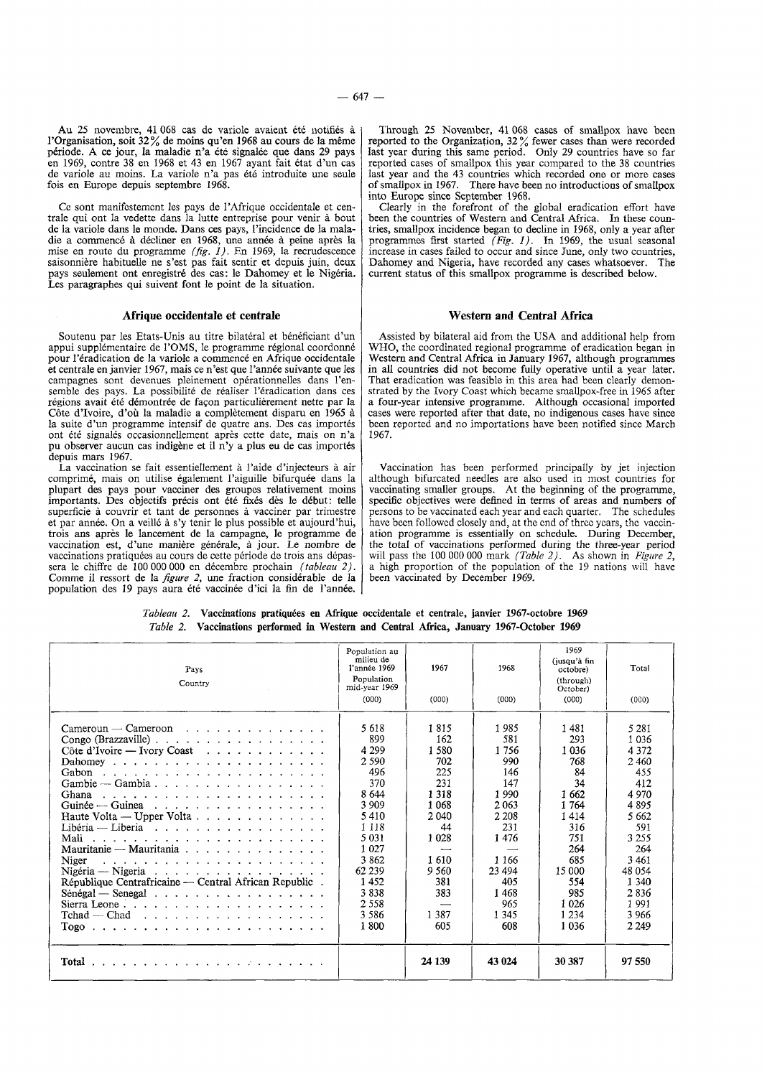Au 25 novembre, 41 068 cas de variole avaient été notifiés à l'Organisation, soit 32% de moins qu'en 1968 au cours de la même période. A ce jour, la maladie n'a été signalée que dans 29 pays en 1969, contre 38 en 1968 et 43 en 1967 ayant fait état d'un cas en 1969, contre 38 en 1968 et 43 en 1967 ayant fait etat d'un cas de variole au moins. La variole n'a pas ete introduite une seule fois en Europe depuis septembre 1968.

Cc sont manifcstemcnt les pays de !'Afrique occidentale et centrale qui ont la vedette dans Ia lutte entreprise pour venir a bout de la variole dans le monde. Dans ces pays, !'incidence de la maladie a commencé à décliner en 1968, une année à peine après la mise en route du programme *(fig.* 1). En 1969, la recrudescence saisonniere habituelle ne s 'est pas fait sentir et depuis juin, deux pays seulement ont enregistré des cas: le Dahomey et le Nigéria. Les paragraphes qui suivent font le point de la situation.

### Mrique occidentale et centrale

Soutenu par les Etats-Unis au titre bilateral et beneficiant d'un appui supplémentaire de l'OMS, le programme régional coordonné pour l'éradication de la variole a commencé en Afrique occidentale et centrale en janvier 1967, mais ce n'est que l'annee suivante que les campagnes sont devenues pleinement operationnelles dans !'ensemble des pays. La possibilité de réaliser l'éradication dans ces régions avait été démontrée de façon particulièrement nette par la Côte d'Ivoire, d'où la maladie a complètement disparu en 1965 à la suite d'un programme intensif de quatre ans. Des cas importes ont été signalés occasionnellement après cette date, mais on n'a pu observer aucun cas indigene et il n'y a plus eu de cas importes depuis mars 1967.

La vaccination se fait essentiellement à l'aide d'injecteurs à air comprime, mais on utilise egalement l'aiguille bifurquee dans Ia plupart des pays pour vacciner des groupes relativement moins importants. Des objectifs précis ont été fixés dès le début: telle superficie a couvrir et tant de personnes a vacciner par trimestre et par annee. On a veillc a s'y tenir le plus possible et aujourd'hui, trois ans apres le lancement de Ia campagne, le programme de vaccination est, d'une maniere generale, a jour. Le nombre de vaccinations pratiquees au cours de cette periode de trois ans depassera le chiffre de 100 000 000 en decembre prochain *(tableau 2).*  Comme il ressort de la *figure 2*, une fraction considérable de la population des 19 pays aura été vaccinée d'ici la fin de l'année.

Through 25 November, 41 068 cases of smallpox have been reported to the Organization,  $32\%$  fewer cases than were recorded last year during this same period. Only 29 countries have so far reported cases of smallpox this year compared to the 38 countries last year and the 43 countries which recorded one or more cases of smallpox in 1967. There have been no introductions of smallpox into Europe since September 1968.

Clearly in the forefront of the global eradication effort have been the countries of Western and Central Africa. In these countries, smallpox incidence began to decline in 1968, only a year after programmes first started *(Fig. I).* In 1969, the usual seasonal increase in cases failed to occur and since June, only two countries, Dahomey and Nigeria, have recorded any cases whatsoever. The current status of this smallpox programme is described below.

#### Western and Central Africa

Assisted by bilateral aid from the USA and additional help from WHO, the coordinated regional programme of eradication began in Western and Central Africa in January 1967, although programmes in all countries did not become fully operative until a year later. That eradication was feasible in this area had been clearly demonstrated by the Ivory Coast which became smallpox-free in 1965 after a four-year intensive programme. Although occasional imported cases were reported after that date, no indigenous cases have since been reported and no importations have been notified since March 1967.

Vaccination has been performed principally by jet injection although bifurcated needles are also used in most countries for vaccinating smaller groups. At the beginning of the programme, specific objectives were defined in terms of areas and numbers of persons to be vaccinated each year and each quarter. The schedules have been followed closely and, at the end of three years, the vaccination programme is essentially on schedule. During December, the total of vaccinations performed during the three-year period will pass the 100 000 000 mark *(Table 2)*. As shown in *Figure 2*, a high proportion of the population of the 19 nations will have been vaccinated by December 1969.

| <i>Tableau 2.</i> Vaccinations pratiquées en Afrique occidentale et centrale, janvier 1967-octobre 1969 |
|---------------------------------------------------------------------------------------------------------|
| <i>Table 2.</i> Vaccinations performed in Western and Central Africa, January 1967-October 1969         |

| Pays<br>Country                                                                                                                                                                                                                                                                                                                                                                                                                                                                                                                                      | Population au<br>milieu de<br>l'année 1969<br>Population<br>mid-year 1969<br>(000)                                                                                         | 1967<br>(000)                                                                                                                             | 1968<br>(000)                                                                                                                                       | 1969<br>(iusqu'à fin<br>octobre)<br>(through)<br>October)<br>(000)                                                                                   | Total<br>(000)                                                                                                                                                            |
|------------------------------------------------------------------------------------------------------------------------------------------------------------------------------------------------------------------------------------------------------------------------------------------------------------------------------------------------------------------------------------------------------------------------------------------------------------------------------------------------------------------------------------------------------|----------------------------------------------------------------------------------------------------------------------------------------------------------------------------|-------------------------------------------------------------------------------------------------------------------------------------------|-----------------------------------------------------------------------------------------------------------------------------------------------------|------------------------------------------------------------------------------------------------------------------------------------------------------|---------------------------------------------------------------------------------------------------------------------------------------------------------------------------|
| $C$ ameroun — $C$ ameroon<br>Congo (Brazzaville) $\ldots$ $\ldots$ $\ldots$ $\ldots$ $\ldots$ $\ldots$ $\ldots$<br>Côte d'Ivoire — Ivory Coast $\cdots$<br>Ghana<br>Guinée — Guinea<br>Libéria — Liberia $\ldots$ , $\ldots$ , $\ldots$ , $\ldots$ , $\ldots$ , $\ldots$<br>Mali<br>Mauritanie — Mauritania<br>Niger<br>République Centrafricaine — Central African Republic.<br>Sierra Leone, $\ldots$ , $\ldots$ , $\ldots$ , $\ldots$ , $\ldots$ , $\ldots$<br>$Tchad$ $\sim$ Chad $\ldots$ $\ldots$ $\ldots$ $\ldots$ $\ldots$ $\ldots$ $\ldots$ | 5 6 1 8<br>899<br>4 2 9 9<br>2 5 9 0<br>496<br>370<br>8 644<br>3 9 0 9<br>5410<br>1 1 1 8<br>5 0 3 1<br>1 0 2 7<br>3862<br>62 239<br>1452<br>3838<br>2.558<br>3586<br>1800 | 1815<br>162<br>1580<br>702<br>225<br>231<br>1 3 1 8<br>1 0 6 8<br>2040<br>44<br>1 0 28<br>1610<br>9 5 6 0<br>381<br>383<br>1 3 8 7<br>605 | 1985<br>581<br>1756<br>990<br>146<br>147<br>1 9 9 0<br>2063<br>2 2 0 8<br>231<br>1476<br>1 1 6 6<br>23 4 94<br>405<br>1468<br>965<br>1 3 4 5<br>608 | 1481<br>293<br>1 0 3 6<br>768<br>84<br>34<br>1 662<br>1764<br>1414<br>316<br>751<br>264<br>685<br>15 000<br>554<br>985<br>1 0 2 6<br>1 2 3 4<br>1036 | 5 2 8 1<br>1 0 3 6<br>4 3 7 2<br>2460<br>455<br>412<br>4 9 7 0<br>4895<br>5662<br>591<br>3 2 5 5<br>264<br>3 4 6 1<br>48 0 54<br>1 340<br>2836<br>1991<br>3966<br>2 2 4 9 |
| Total                                                                                                                                                                                                                                                                                                                                                                                                                                                                                                                                                |                                                                                                                                                                            | 24 139                                                                                                                                    | 43 024                                                                                                                                              | 30 387                                                                                                                                               | 97 550                                                                                                                                                                    |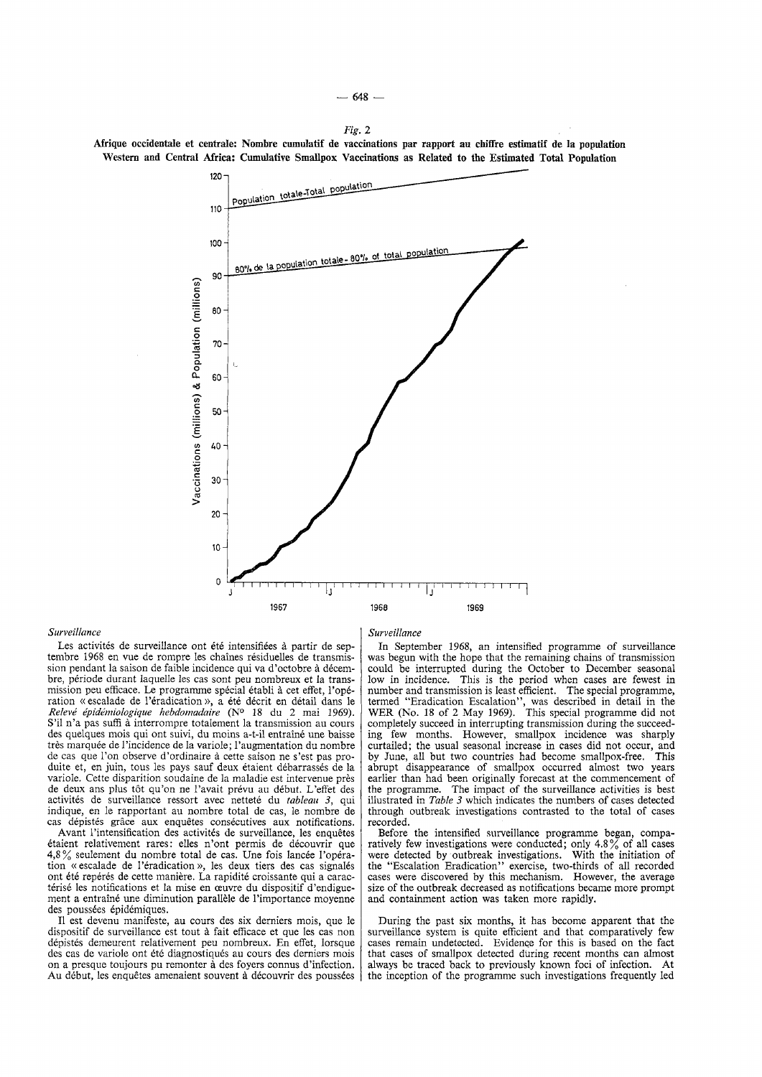

#### *Surveillance*

Les activités de surveillance ont été intensifiées à partir de septembre 1968 en vue de rompre les chaines residuelles de transmission pendant la saison de faible incidence qui va d'octobre à décembre, periode durant laquelle les cas sont peu nombreux et la transmission peu efficace. Le programme special etabli a cet effet, !'operation «escalade de !'eradication», a ete decrit en detail dans le *Re!ewi epidemio!ogique hebdomadaire* (N° 18 du 2 mai 1969). S'il n'a pas suffi à interrompre totalement la transmission au cours des quelques mois qui ont suivi, du moins a-t-il entraîné une baisse très marquée de l'incidence de la variole; l'augmentation du nombre de cas que !'on observe d'ordinaire a cette saison ne s'est pas pro-duite et, en juin, tous les pays sauf deux etaient debarrasses de !a variole. Cette disparition soudaine de Ia maladie est intervenue pres de deux ans plus tot qu'on ne l'avait prevu au debut. L'effet des activités de surveillance ressort avec netteté du tableau 3, qui indique, en le rapportant au nombre total de cas, le nombre de cas dépistés grâce aux enquêtes consécutives aux notifications.

Avant l'intensification des activités de surveillance, les enquêtes etaient relativement rares: elles n 'ont permis de decouvrir que  $4.8\%$  seulement du nombre total de cas. Une fois lancée l'opération « escalade de l'éradication », les deux tiers des cas signalés ont été repérés de cette manière. La rapidité croissante qui a caractérisé les notifications et la mise en œuvre du dispositif d'endiguement a entraîné une diminution parallèle de l'importance moyenne des poussées épidémiques.

II est devenu manifeste, au cours des six derniers mois, que le dispositif de surveillance est tout a fait efficace et que les cas non depistes demeurent relativement peu nombreux. En effet, lorsque des cas de variole ont été diagnostiqués au cours des derniers mois on a presque toujours pu remonter à des foyers connus d'infection. Au début, les enquêtes amenaient souvent à découvrir des poussées *Surveillance* 

In September 1968, an intensified programme of surveillance was begun with the hope that the remaining chains of transmission could be interrupted during the October to December seasonal low in incidence. This is the period when cases are fewest in number and transmission is least efficient. The special programme, termed "Eradication Escalation", was described in detail in the WER (No. 18 of 2 May 1969). *This* special programme did not completely succeed in interrupting transmission during the succeeding few months. However, smallpox incidence was sharply curtailed; the usual seasonal increase in cases did not occur, and by June, all but two countries had become smallpox-free. This abrupt disappearance of smallpox occurred almost two years earlier than had been originally forecast at the commencement of the programme. The impact of the surveillance activities is best illustrated in *Table 3* which indicates the numbers of cases detected through outbreak investigations contrasted to the total of cases recorded.

Before the intensified surveillance programme began, comparatively few investigations were conducted; only 4.8% of all cases were detected by outbreak investigations. With the initiation of the "Escalation Eradication" exercise, two-thirds of all recorded cases were discovered by *this* mechanism. However, the average size of the outbreak decreased as notifications became more prompt and containment action was taken more rapidly.

During the past six months, it has become apparent that the surveillance system is quite efficient and that comparatively few cases remain undetected. Evidence for this is based on the fact that cases of smallpox detected during recent months can almost always be traced back to previously known foci of infection. At the inception of the programme such investigations frequently led